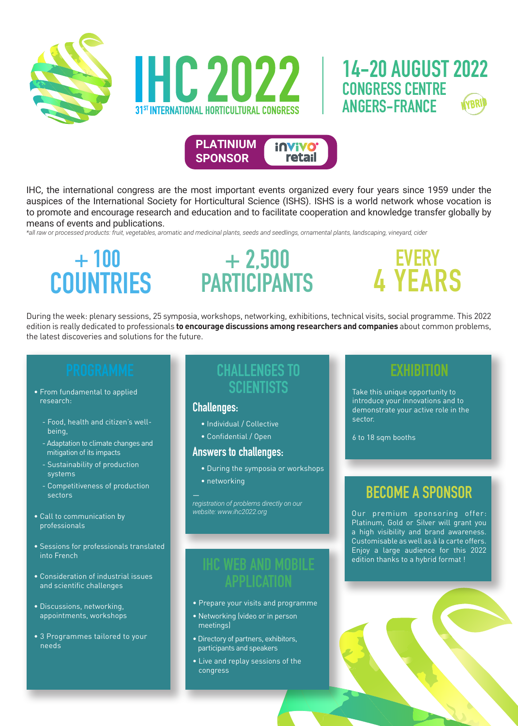



IHC, the international congress are the most important events organized every four years since 1959 under the auspices of the International Society for Horticultural Science (ISHS). ISHS is a world network whose vocation is to promote and encourage research and education and to facilitate cooperation and knowledge transfer globally by means of events and publications.

*\*all raw or processed products: fruit, vegetables, aromatic and medicinal plants, seeds and seedlings, ornamental plants, landscaping, vineyard, cider*

# **+ 100 COUNTRIES**

# **+ 2,500 PARTICIPANTS**

# **EVERY 4 YEARS**

During the week: plenary sessions, 25 symposia, workshops, networking, exhibitions, technical visits, social programme. This 2022 edition is really dedicated to professionals **to encourage discussions among researchers and companies** about common problems, the latest discoveries and solutions for the future.

- From fundamental to applied research:
	- Food, health and citizen's wellbeing,
	- Adaptation to climate changes and mitigation of its impacts
	- Sustainability of production systems
	- Competitiveness of production sectors
- Call to communication by professionals
- Sessions for professionals translated into French
- Consideration of industrial issues and scientific challenges
- Discussions, networking, appointments, workshops
- 3 Programmes tailored to your needs

# **SCIENTISTS**

#### **Challenges:**

- Individual / Collective
- Confidential / Open

#### **Answers to challenges:**

- During the symposia or workshops
- networking

*registration of problems directly on our website: www.ihc2022.org*

#### **IHC WEB AND MOBILE APPLICATION**

- Prepare your visits and programme
- Networking (video or in person meetings)
- Directory of partners, exhibitors, participants and speakers
- Live and replay sessions of the congress

#### **EXHIBITION**

Take this unique opportunity to introduce your innovations and to demonstrate your active role in the sector.

6 to 18 sqm booths

#### **BECOME A SPONSOR**

Our premium sponsoring offer: Platinum, Gold or Silver will grant you a high visibility and brand awareness. Customisable as well as à la carte offers. Enjoy a large audience for this 2022 edition thanks to a hybrid format !